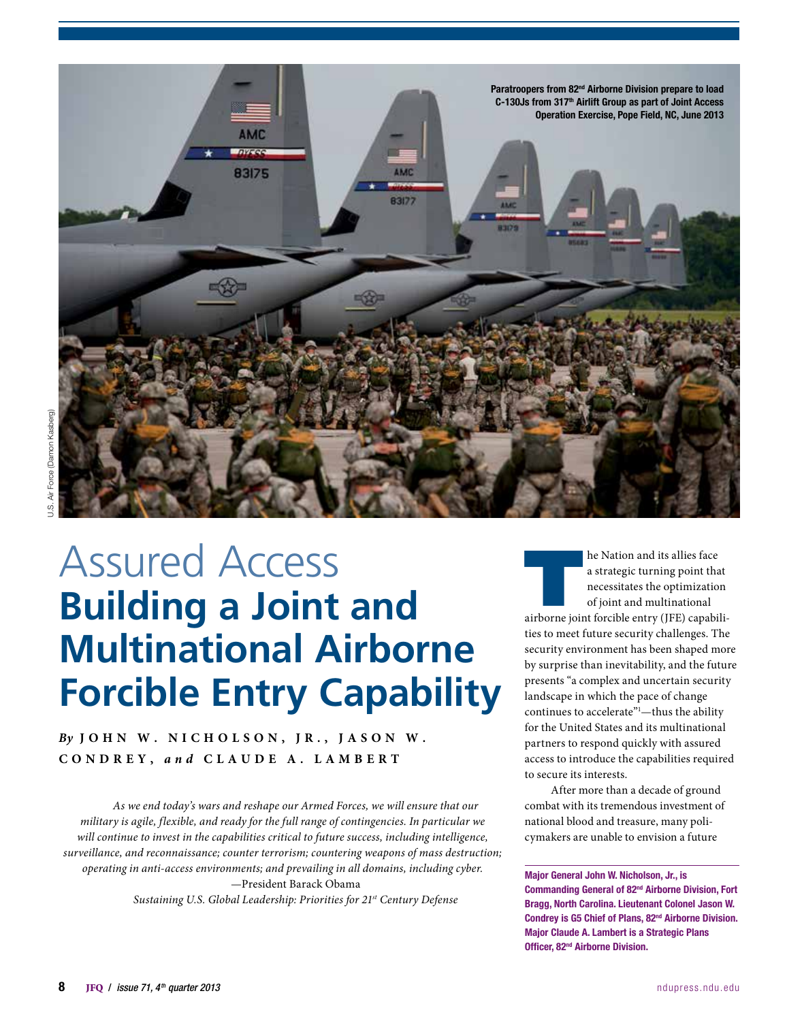

# Assured Access **Building a Joint and Multinational Airborne Forcible Entry Capability**

*By* **John W. N i c h o l s o n , J r . , J a s o n W . C ondr e y,** *and* **C laud e A . L a m be r t**

*As we end today's wars and reshape our Armed Forces, we will ensure that our military is agile, flexible, and ready for the full range of contingencies. In particular we will continue to invest in the capabilities critical to future success, including intelligence, surveillance, and reconnaissance; counter terrorism; countering weapons of mass destruction; operating in anti-access environments; and prevailing in all domains, including cyber.* —President Barack Obama

*Sustaining U.S. Global Leadership: Priorities for 21st Century Defense*

**EXECUTE ANATION AND ADDED A** a strategic turning point that necessitates the optimization of joint and multinational airborne joint forcible entry (JFE) capabilia strategic turning point that necessitates the optimization of joint and multinational ties to meet future security challenges. The security environment has been shaped more by surprise than inevitability, and the future presents "a complex and uncertain security landscape in which the pace of change continues to accelerate"<sup>1</sup>-thus the ability for the United States and its multinational partners to respond quickly with assured access to introduce the capabilities required to secure its interests.

After more than a decade of ground combat with its tremendous investment of national blood and treasure, many policymakers are unable to envision a future

Major General John W. Nicholson, Jr., is Commanding General of 82nd Airborne Division, Fort Bragg, North Carolina. Lieutenant Colonel Jason W. Condrey is G5 Chief of Plans, 82nd Airborne Division. Major Claude A. Lambert is a Strategic Plans Officer, 82nd Airborne Division.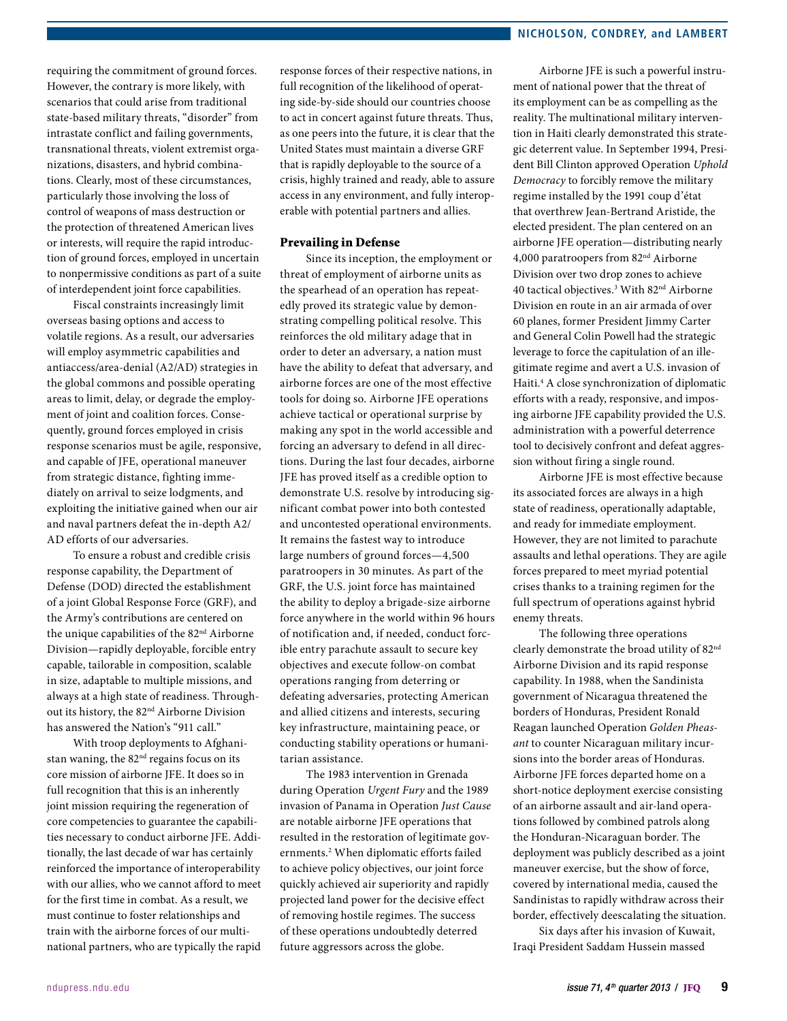requiring the commitment of ground forces. However, the contrary is more likely, with scenarios that could arise from traditional state-based military threats, "disorder" from intrastate conflict and failing governments, transnational threats, violent extremist organizations, disasters, and hybrid combinations. Clearly, most of these circumstances, particularly those involving the loss of control of weapons of mass destruction or the protection of threatened American lives or interests, will require the rapid introduction of ground forces, employed in uncertain to nonpermissive conditions as part of a suite of interdependent joint force capabilities.

Fiscal constraints increasingly limit overseas basing options and access to volatile regions. As a result, our adversaries will employ asymmetric capabilities and antiaccess/area-denial (A2/AD) strategies in the global commons and possible operating areas to limit, delay, or degrade the employment of joint and coalition forces. Consequently, ground forces employed in crisis response scenarios must be agile, responsive, and capable of JFE, operational maneuver from strategic distance, fighting immediately on arrival to seize lodgments, and exploiting the initiative gained when our air and naval partners defeat the in-depth A2/ AD efforts of our adversaries.

To ensure a robust and credible crisis response capability, the Department of Defense (DOD) directed the establishment of a joint Global Response Force (GRF), and the Army's contributions are centered on the unique capabilities of the 82<sup>nd</sup> Airborne Division—rapidly deployable, forcible entry capable, tailorable in composition, scalable in size, adaptable to multiple missions, and always at a high state of readiness. Throughout its history, the 82nd Airborne Division has answered the Nation's "911 call."

With troop deployments to Afghanistan waning, the 82<sup>nd</sup> regains focus on its core mission of airborne JFE. It does so in full recognition that this is an inherently joint mission requiring the regeneration of core competencies to guarantee the capabilities necessary to conduct airborne JFE. Additionally, the last decade of war has certainly reinforced the importance of interoperability with our allies, who we cannot afford to meet for the first time in combat. As a result, we must continue to foster relationships and train with the airborne forces of our multinational partners, who are typically the rapid

response forces of their respective nations, in full recognition of the likelihood of operating side-by-side should our countries choose to act in concert against future threats. Thus, as one peers into the future, it is clear that the United States must maintain a diverse GRF that is rapidly deployable to the source of a crisis, highly trained and ready, able to assure access in any environment, and fully interoperable with potential partners and allies.

## Prevailing in Defense

Since its inception, the employment or threat of employment of airborne units as the spearhead of an operation has repeatedly proved its strategic value by demonstrating compelling political resolve. This reinforces the old military adage that in order to deter an adversary, a nation must have the ability to defeat that adversary, and airborne forces are one of the most effective tools for doing so. Airborne JFE operations achieve tactical or operational surprise by making any spot in the world accessible and forcing an adversary to defend in all directions. During the last four decades, airborne JFE has proved itself as a credible option to demonstrate U.S. resolve by introducing significant combat power into both contested and uncontested operational environments. It remains the fastest way to introduce large numbers of ground forces—4,500 paratroopers in 30 minutes. As part of the GRF, the U.S. joint force has maintained the ability to deploy a brigade-size airborne force anywhere in the world within 96 hours of notification and, if needed, conduct forcible entry parachute assault to secure key objectives and execute follow-on combat operations ranging from deterring or defeating adversaries, protecting American and allied citizens and interests, securing key infrastructure, maintaining peace, or conducting stability operations or humanitarian assistance.

The 1983 intervention in Grenada during Operation *Urgent Fury* and the 1989 invasion of Panama in Operation *Just Cause* are notable airborne JFE operations that resulted in the restoration of legitimate governments.2 When diplomatic efforts failed to achieve policy objectives, our joint force quickly achieved air superiority and rapidly projected land power for the decisive effect of removing hostile regimes. The success of these operations undoubtedly deterred future aggressors across the globe.

Airborne JFE is such a powerful instrument of national power that the threat of its employment can be as compelling as the reality. The multinational military intervention in Haiti clearly demonstrated this strategic deterrent value. In September 1994, President Bill Clinton approved Operation *Uphold Democracy* to forcibly remove the military regime installed by the 1991 coup d'état that overthrew Jean-Bertrand Aristide, the elected president. The plan centered on an airborne JFE operation—distributing nearly 4,000 paratroopers from 82nd Airborne Division over two drop zones to achieve 40 tactical objectives.3 With 82nd Airborne Division en route in an air armada of over 60 planes, former President Jimmy Carter and General Colin Powell had the strategic leverage to force the capitulation of an illegitimate regime and avert a U.S. invasion of Haiti.4 A close synchronization of diplomatic efforts with a ready, responsive, and imposing airborne JFE capability provided the U.S. administration with a powerful deterrence tool to decisively confront and defeat aggression without firing a single round.

Airborne JFE is most effective because its associated forces are always in a high state of readiness, operationally adaptable, and ready for immediate employment. However, they are not limited to parachute assaults and lethal operations. They are agile forces prepared to meet myriad potential crises thanks to a training regimen for the full spectrum of operations against hybrid enemy threats.

The following three operations clearly demonstrate the broad utility of 82nd Airborne Division and its rapid response capability. In 1988, when the Sandinista government of Nicaragua threatened the borders of Honduras, President Ronald Reagan launched Operation *Golden Pheasant* to counter Nicaraguan military incursions into the border areas of Honduras. Airborne JFE forces departed home on a short-notice deployment exercise consisting of an airborne assault and air-land operations followed by combined patrols along the Honduran-Nicaraguan border. The deployment was publicly described as a joint maneuver exercise, but the show of force, covered by international media, caused the Sandinistas to rapidly withdraw across their border, effectively deescalating the situation.

Six days after his invasion of Kuwait, Iraqi President Saddam Hussein massed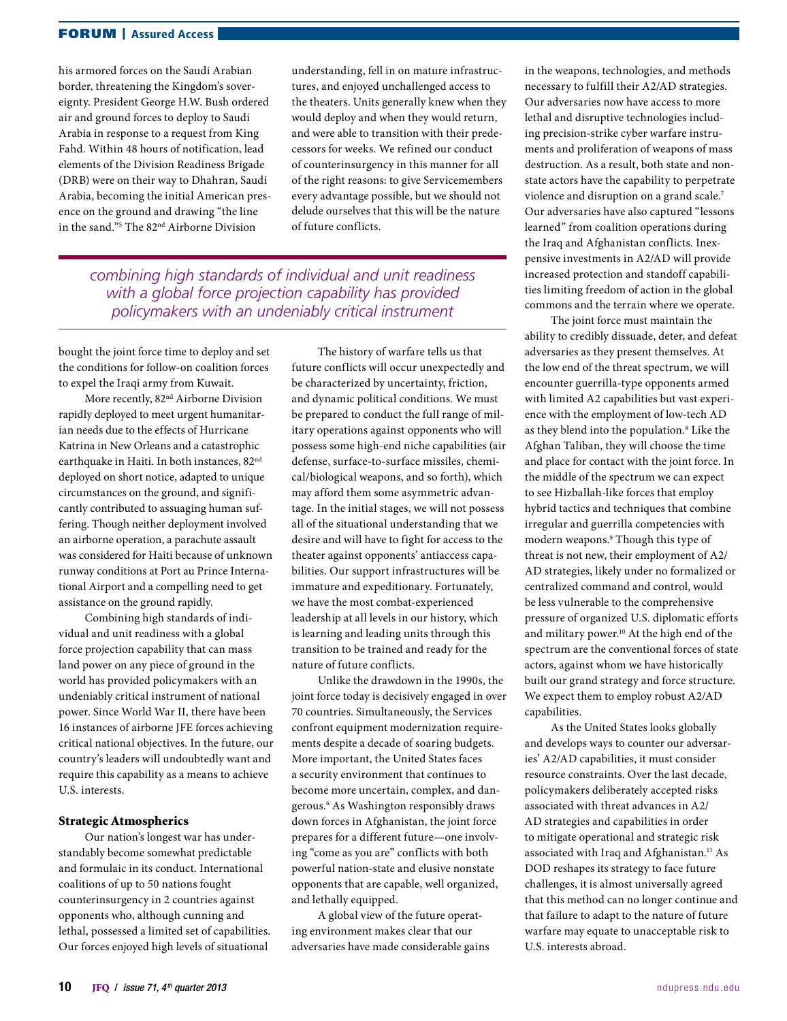## FORUM | Assured Access

his armored forces on the Saudi Arabian border, threatening the Kingdom's sovereignty. President George H.W. Bush ordered air and ground forces to deploy to Saudi Arabia in response to a request from King Fahd. Within 48 hours of notification, lead elements of the Division Readiness Brigade (DRB) were on their way to Dhahran, Saudi Arabia, becoming the initial American presence on the ground and drawing "the line in the sand."5 The 82nd Airborne Division

understanding, fell in on mature infrastructures, and enjoyed unchallenged access to the theaters. Units generally knew when they would deploy and when they would return, and were able to transition with their predecessors for weeks. We refined our conduct of counterinsurgency in this manner for all of the right reasons: to give Servicemembers every advantage possible, but we should not delude ourselves that this will be the nature of future conflicts.

*combining high standards of individual and unit readiness with a global force projection capability has provided policymakers with an undeniably critical instrument*

bought the joint force time to deploy and set the conditions for follow-on coalition forces to expel the Iraqi army from Kuwait.

More recently, 82nd Airborne Division rapidly deployed to meet urgent humanitarian needs due to the effects of Hurricane Katrina in New Orleans and a catastrophic earthquake in Haiti. In both instances, 82<sup>nd</sup> deployed on short notice, adapted to unique circumstances on the ground, and significantly contributed to assuaging human suffering. Though neither deployment involved an airborne operation, a parachute assault was considered for Haiti because of unknown runway conditions at Port au Prince International Airport and a compelling need to get assistance on the ground rapidly.

Combining high standards of individual and unit readiness with a global force projection capability that can mass land power on any piece of ground in the world has provided policymakers with an undeniably critical instrument of national power. Since World War II, there have been 16 instances of airborne JFE forces achieving critical national objectives. In the future, our country's leaders will undoubtedly want and require this capability as a means to achieve U.S. interests.

## Strategic Atmospherics

Our nation's longest war has understandably become somewhat predictable and formulaic in its conduct. International coalitions of up to 50 nations fought counterinsurgency in 2 countries against opponents who, although cunning and lethal, possessed a limited set of capabilities. Our forces enjoyed high levels of situational

The history of warfare tells us that future conflicts will occur unexpectedly and be characterized by uncertainty, friction, and dynamic political conditions. We must be prepared to conduct the full range of military operations against opponents who will possess some high-end niche capabilities (air defense, surface-to-surface missiles, chemical/biological weapons, and so forth), which may afford them some asymmetric advantage. In the initial stages, we will not possess all of the situational understanding that we desire and will have to fight for access to the theater against opponents' antiaccess capabilities. Our support infrastructures will be immature and expeditionary. Fortunately, we have the most combat-experienced leadership at all levels in our history, which is learning and leading units through this transition to be trained and ready for the nature of future conflicts.

Unlike the drawdown in the 1990s, the joint force today is decisively engaged in over 70 countries. Simultaneously, the Services confront equipment modernization requirements despite a decade of soaring budgets. More important, the United States faces a security environment that continues to become more uncertain, complex, and dangerous.6 As Washington responsibly draws down forces in Afghanistan, the joint force prepares for a different future—one involving "come as you are" conflicts with both powerful nation-state and elusive nonstate opponents that are capable, well organized, and lethally equipped.

A global view of the future operating environment makes clear that our adversaries have made considerable gains in the weapons, technologies, and methods necessary to fulfill their A2/AD strategies. Our adversaries now have access to more lethal and disruptive technologies including precision-strike cyber warfare instruments and proliferation of weapons of mass destruction. As a result, both state and nonstate actors have the capability to perpetrate violence and disruption on a grand scale.<sup>7</sup> Our adversaries have also captured "lessons learned" from coalition operations during the Iraq and Afghanistan conflicts. Inexpensive investments in A2/AD will provide increased protection and standoff capabilities limiting freedom of action in the global commons and the terrain where we operate.

The joint force must maintain the ability to credibly dissuade, deter, and defeat adversaries as they present themselves. At the low end of the threat spectrum, we will encounter guerrilla-type opponents armed with limited A2 capabilities but vast experience with the employment of low-tech AD as they blend into the population.<sup>8</sup> Like the Afghan Taliban, they will choose the time and place for contact with the joint force. In the middle of the spectrum we can expect to see Hizballah-like forces that employ hybrid tactics and techniques that combine irregular and guerrilla competencies with modern weapons.9 Though this type of threat is not new, their employment of A2/ AD strategies, likely under no formalized or centralized command and control, would be less vulnerable to the comprehensive pressure of organized U.S. diplomatic efforts and military power.<sup>10</sup> At the high end of the spectrum are the conventional forces of state actors, against whom we have historically built our grand strategy and force structure. We expect them to employ robust A2/AD capabilities.

As the United States looks globally and develops ways to counter our adversaries' A2/AD capabilities, it must consider resource constraints. Over the last decade, policymakers deliberately accepted risks associated with threat advances in A2/ AD strategies and capabilities in order to mitigate operational and strategic risk associated with Iraq and Afghanistan.<sup>11</sup> As DOD reshapes its strategy to face future challenges, it is almost universally agreed that this method can no longer continue and that failure to adapt to the nature of future warfare may equate to unacceptable risk to U.S. interests abroad.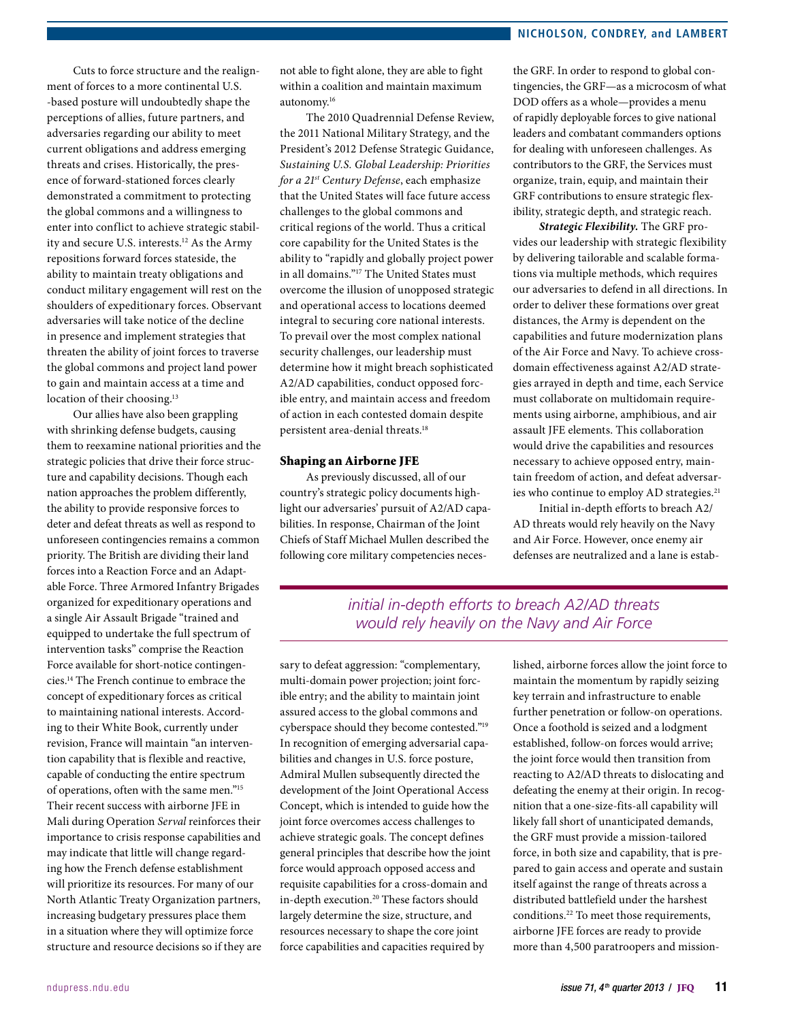Cuts to force structure and the realignment of forces to a more continental U.S. -based posture will undoubtedly shape the perceptions of allies, future partners, and adversaries regarding our ability to meet current obligations and address emerging threats and crises. Historically, the presence of forward-stationed forces clearly demonstrated a commitment to protecting the global commons and a willingness to enter into conflict to achieve strategic stability and secure U.S. interests.<sup>12</sup> As the Army repositions forward forces stateside, the ability to maintain treaty obligations and conduct military engagement will rest on the shoulders of expeditionary forces. Observant adversaries will take notice of the decline in presence and implement strategies that threaten the ability of joint forces to traverse the global commons and project land power to gain and maintain access at a time and location of their choosing.<sup>13</sup>

Our allies have also been grappling with shrinking defense budgets, causing them to reexamine national priorities and the strategic policies that drive their force structure and capability decisions. Though each nation approaches the problem differently, the ability to provide responsive forces to deter and defeat threats as well as respond to unforeseen contingencies remains a common priority. The British are dividing their land forces into a Reaction Force and an Adaptable Force. Three Armored Infantry Brigades organized for expeditionary operations and a single Air Assault Brigade "trained and equipped to undertake the full spectrum of intervention tasks" comprise the Reaction Force available for short-notice contingencies.14 The French continue to embrace the concept of expeditionary forces as critical to maintaining national interests. According to their White Book, currently under revision, France will maintain "an intervention capability that is flexible and reactive, capable of conducting the entire spectrum of operations, often with the same men."15 Their recent success with airborne JFE in Mali during Operation *Serval* reinforces their importance to crisis response capabilities and may indicate that little will change regarding how the French defense establishment will prioritize its resources. For many of our North Atlantic Treaty Organization partners, increasing budgetary pressures place them in a situation where they will optimize force structure and resource decisions so if they are

not able to fight alone, they are able to fight within a coalition and maintain maximum autonomy.16

The 2010 Quadrennial Defense Review, the 2011 National Military Strategy, and the President's 2012 Defense Strategic Guidance, *Sustaining U.S. Global Leadership: Priorities for a 21st Century Defense*, each emphasize that the United States will face future access challenges to the global commons and critical regions of the world. Thus a critical core capability for the United States is the ability to "rapidly and globally project power in all domains."17 The United States must overcome the illusion of unopposed strategic and operational access to locations deemed integral to securing core national interests. To prevail over the most complex national security challenges, our leadership must determine how it might breach sophisticated A2/AD capabilities, conduct opposed forcible entry, and maintain access and freedom of action in each contested domain despite persistent area-denial threats.<sup>18</sup>

#### Shaping an Airborne JFE

As previously discussed, all of our country's strategic policy documents highlight our adversaries' pursuit of A2/AD capabilities. In response, Chairman of the Joint Chiefs of Staff Michael Mullen described the following core military competencies necesthe GRF. In order to respond to global contingencies, the GRF—as a microcosm of what DOD offers as a whole—provides a menu of rapidly deployable forces to give national leaders and combatant commanders options for dealing with unforeseen challenges. As contributors to the GRF, the Services must organize, train, equip, and maintain their GRF contributions to ensure strategic flexibility, strategic depth, and strategic reach.

*Strategic Flexibility.* The GRF provides our leadership with strategic flexibility by delivering tailorable and scalable formations via multiple methods, which requires our adversaries to defend in all directions. In order to deliver these formations over great distances, the Army is dependent on the capabilities and future modernization plans of the Air Force and Navy. To achieve crossdomain effectiveness against A2/AD strategies arrayed in depth and time, each Service must collaborate on multidomain requirements using airborne, amphibious, and air assault JFE elements. This collaboration would drive the capabilities and resources necessary to achieve opposed entry, maintain freedom of action, and defeat adversaries who continue to employ AD strategies.<sup>21</sup>

Initial in-depth efforts to breach A2/ AD threats would rely heavily on the Navy and Air Force. However, once enemy air defenses are neutralized and a lane is estab-

# *initial in-depth efforts to breach A2/AD threats would rely heavily on the Navy and Air Force*

sary to defeat aggression: "complementary, multi-domain power projection; joint forcible entry; and the ability to maintain joint assured access to the global commons and cyberspace should they become contested."19 In recognition of emerging adversarial capabilities and changes in U.S. force posture, Admiral Mullen subsequently directed the development of the Joint Operational Access Concept, which is intended to guide how the joint force overcomes access challenges to achieve strategic goals. The concept defines general principles that describe how the joint force would approach opposed access and requisite capabilities for a cross-domain and in-depth execution.<sup>20</sup> These factors should largely determine the size, structure, and resources necessary to shape the core joint force capabilities and capacities required by

lished, airborne forces allow the joint force to maintain the momentum by rapidly seizing key terrain and infrastructure to enable further penetration or follow-on operations. Once a foothold is seized and a lodgment established, follow-on forces would arrive; the joint force would then transition from reacting to A2/AD threats to dislocating and defeating the enemy at their origin. In recognition that a one-size-fits-all capability will likely fall short of unanticipated demands, the GRF must provide a mission-tailored force, in both size and capability, that is prepared to gain access and operate and sustain itself against the range of threats across a distributed battlefield under the harshest conditions.22 To meet those requirements, airborne JFE forces are ready to provide more than 4,500 paratroopers and mission-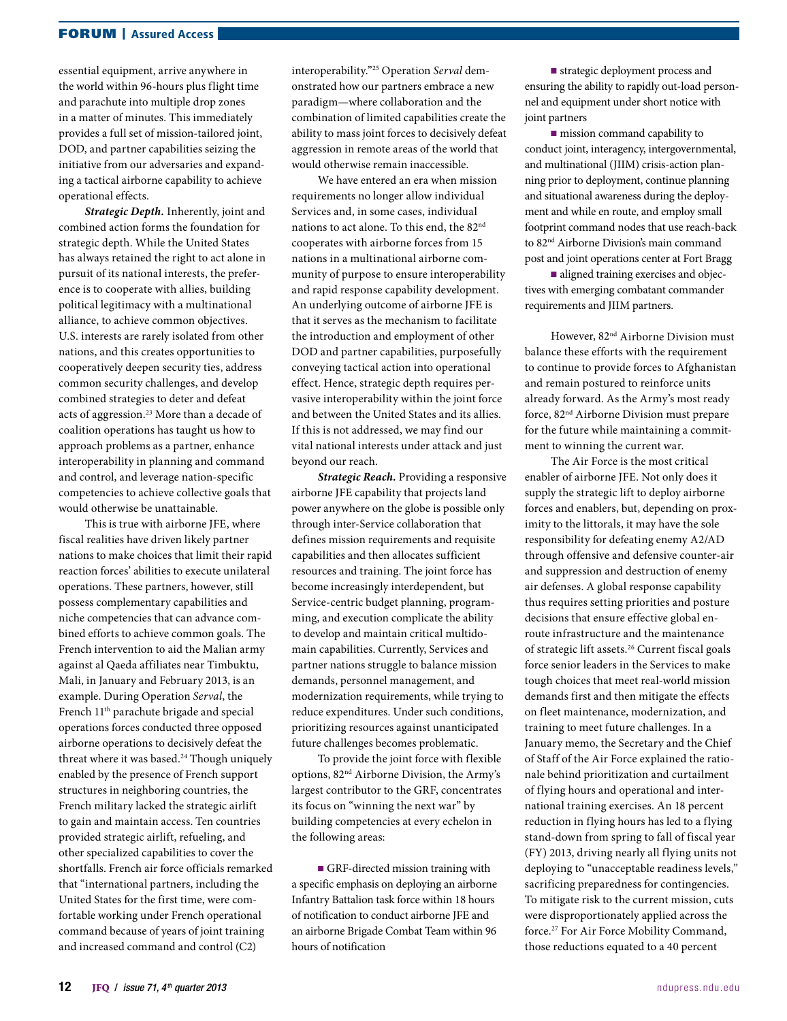## FORUM | Assured Access

essential equipment, arrive anywhere in the world within 96-hours plus flight time and parachute into multiple drop zones in a matter of minutes. This immediately provides a full set of mission-tailored joint, DOD, and partner capabilities seizing the initiative from our adversaries and expanding a tactical airborne capability to achieve operational effects.

*Strategic Depth.* Inherently, joint and combined action forms the foundation for strategic depth. While the United States has always retained the right to act alone in pursuit of its national interests, the preference is to cooperate with allies, building political legitimacy with a multinational alliance, to achieve common objectives. U.S. interests are rarely isolated from other nations, and this creates opportunities to cooperatively deepen security ties, address common security challenges, and develop combined strategies to deter and defeat acts of aggression.<sup>23</sup> More than a decade of coalition operations has taught us how to approach problems as a partner, enhance interoperability in planning and command and control, and leverage nation-specific competencies to achieve collective goals that would otherwise be unattainable.

This is true with airborne JFE, where fiscal realities have driven likely partner nations to make choices that limit their rapid reaction forces' abilities to execute unilateral operations. These partners, however, still possess complementary capabilities and niche competencies that can advance combined efforts to achieve common goals. The French intervention to aid the Malian army against al Qaeda affiliates near Timbuktu, Mali, in January and February 2013, is an example. During Operation *Serval*, the French 11th parachute brigade and special operations forces conducted three opposed airborne operations to decisively defeat the threat where it was based.<sup>24</sup> Though uniquely enabled by the presence of French support structures in neighboring countries, the French military lacked the strategic airlift to gain and maintain access. Ten countries provided strategic airlift, refueling, and other specialized capabilities to cover the shortfalls. French air force officials remarked that "international partners, including the United States for the first time, were comfortable working under French operational command because of years of joint training and increased command and control (C2)

interoperability."25 Operation *Serval* demonstrated how our partners embrace a new paradigm—where collaboration and the combination of limited capabilities create the ability to mass joint forces to decisively defeat aggression in remote areas of the world that would otherwise remain inaccessible.

We have entered an era when mission requirements no longer allow individual Services and, in some cases, individual nations to act alone. To this end, the 82nd cooperates with airborne forces from 15 nations in a multinational airborne community of purpose to ensure interoperability and rapid response capability development. An underlying outcome of airborne JFE is that it serves as the mechanism to facilitate the introduction and employment of other DOD and partner capabilities, purposefully conveying tactical action into operational effect. Hence, strategic depth requires pervasive interoperability within the joint force and between the United States and its allies. If this is not addressed, we may find our vital national interests under attack and just beyond our reach.

*Strategic Reach.* Providing a responsive airborne JFE capability that projects land power anywhere on the globe is possible only through inter-Service collaboration that defines mission requirements and requisite capabilities and then allocates sufficient resources and training. The joint force has become increasingly interdependent, but Service-centric budget planning, programming, and execution complicate the ability to develop and maintain critical multidomain capabilities. Currently, Services and partner nations struggle to balance mission demands, personnel management, and modernization requirements, while trying to reduce expenditures. Under such conditions, prioritizing resources against unanticipated future challenges becomes problematic.

To provide the joint force with flexible options, 82nd Airborne Division, the Army's largest contributor to the GRF, concentrates its focus on "winning the next war" by building competencies at every echelon in the following areas:

■ GRF-directed mission training with a specific emphasis on deploying an airborne Infantry Battalion task force within 18 hours of notification to conduct airborne JFE and an airborne Brigade Combat Team within 96 hours of notification

■ strategic deployment process and ensuring the ability to rapidly out-load personnel and equipment under short notice with joint partners

■ mission command capability to conduct joint, interagency, intergovernmental, and multinational (JIIM) crisis-action planning prior to deployment, continue planning and situational awareness during the deployment and while en route, and employ small footprint command nodes that use reach-back to 82nd Airborne Division's main command post and joint operations center at Fort Bragg

■ aligned training exercises and objectives with emerging combatant commander requirements and JIIM partners.

However, 82nd Airborne Division must balance these efforts with the requirement to continue to provide forces to Afghanistan and remain postured to reinforce units already forward. As the Army's most ready force, 82nd Airborne Division must prepare for the future while maintaining a commitment to winning the current war.

The Air Force is the most critical enabler of airborne JFE. Not only does it supply the strategic lift to deploy airborne forces and enablers, but, depending on proximity to the littorals, it may have the sole responsibility for defeating enemy A2/AD through offensive and defensive counter-air and suppression and destruction of enemy air defenses. A global response capability thus requires setting priorities and posture decisions that ensure effective global enroute infrastructure and the maintenance of strategic lift assets.26 Current fiscal goals force senior leaders in the Services to make tough choices that meet real-world mission demands first and then mitigate the effects on fleet maintenance, modernization, and training to meet future challenges. In a January memo, the Secretary and the Chief of Staff of the Air Force explained the rationale behind prioritization and curtailment of flying hours and operational and international training exercises. An 18 percent reduction in flying hours has led to a flying stand-down from spring to fall of fiscal year (FY) 2013, driving nearly all flying units not deploying to "unacceptable readiness levels," sacrificing preparedness for contingencies. To mitigate risk to the current mission, cuts were disproportionately applied across the force.27 For Air Force Mobility Command, those reductions equated to a 40 percent